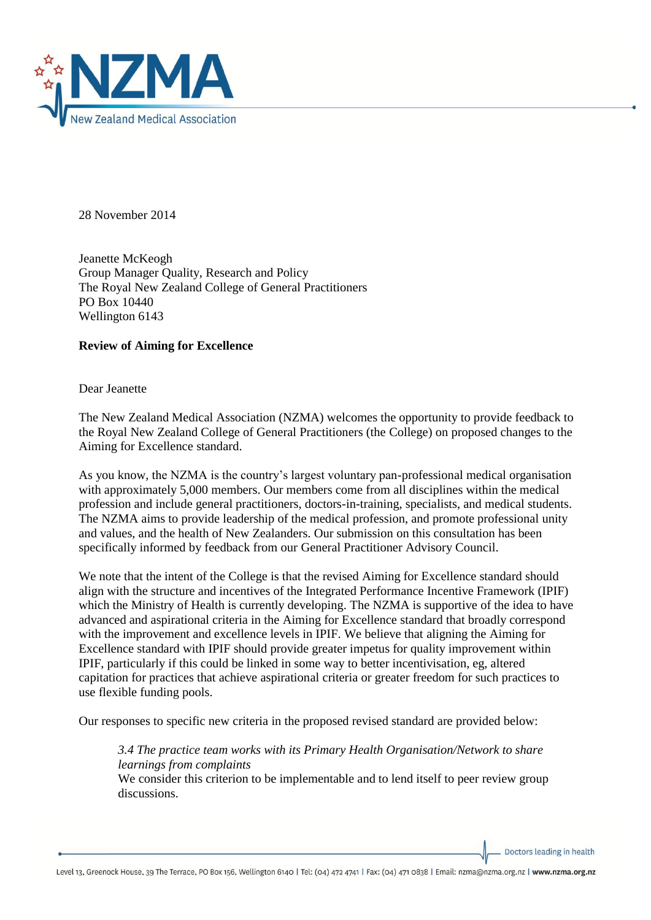

28 November 2014

Jeanette McKeogh Group Manager Quality, Research and Policy The Royal New Zealand College of General Practitioners PO Box 10440 Wellington 6143

## **Review of Aiming for Excellence**

Dear Jeanette

The New Zealand Medical Association (NZMA) welcomes the opportunity to provide feedback to the Royal New Zealand College of General Practitioners (the College) on proposed changes to the Aiming for Excellence standard.

As you know, the NZMA is the country's largest voluntary pan-professional medical organisation with approximately 5,000 members. Our members come from all disciplines within the medical profession and include general practitioners, doctors-in-training, specialists, and medical students. The NZMA aims to provide leadership of the medical profession, and promote professional unity and values, and the health of New Zealanders. Our submission on this consultation has been specifically informed by feedback from our General Practitioner Advisory Council.

We note that the intent of the College is that the revised Aiming for Excellence standard should align with the structure and incentives of the Integrated Performance Incentive Framework (IPIF) which the Ministry of Health is currently developing. The NZMA is supportive of the idea to have advanced and aspirational criteria in the Aiming for Excellence standard that broadly correspond with the improvement and excellence levels in IPIF. We believe that aligning the Aiming for Excellence standard with IPIF should provide greater impetus for quality improvement within IPIF, particularly if this could be linked in some way to better incentivisation, eg, altered capitation for practices that achieve aspirational criteria or greater freedom for such practices to use flexible funding pools.

Our responses to specific new criteria in the proposed revised standard are provided below:

*3.4 The practice team works with its Primary Health Organisation/Network to share learnings from complaints*

We consider this criterion to be implementable and to lend itself to peer review group discussions.

Doctors leading in health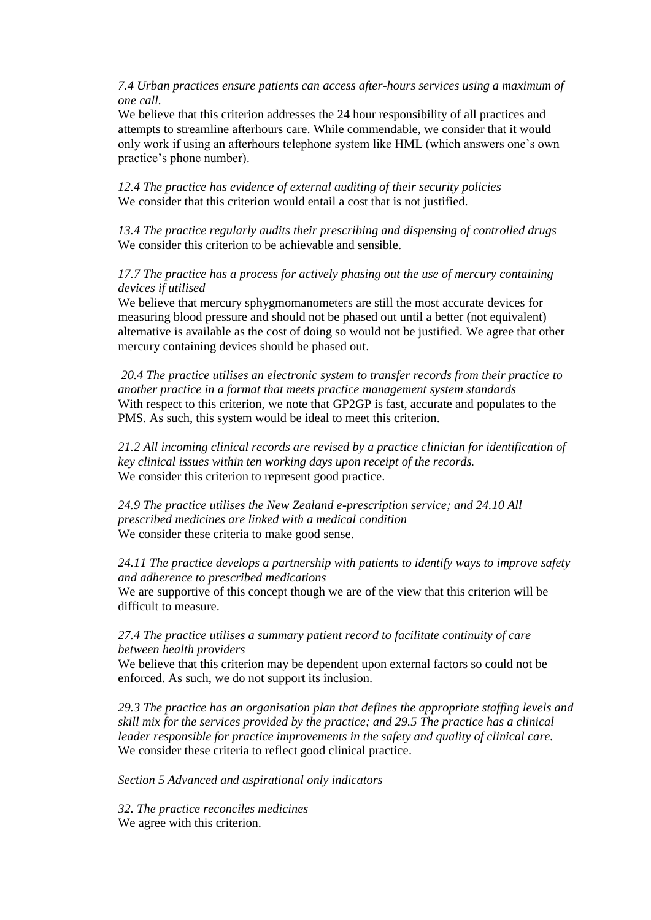*7.4 Urban practices ensure patients can access after-hours services using a maximum of one call.*

We believe that this criterion addresses the 24 hour responsibility of all practices and attempts to streamline afterhours care. While commendable, we consider that it would only work if using an afterhours telephone system like HML (which answers one's own practice's phone number).

*12.4 The practice has evidence of external auditing of their security policies* We consider that this criterion would entail a cost that is not justified.

*13.4 The practice regularly audits their prescribing and dispensing of controlled drugs* We consider this criterion to be achievable and sensible.

# *17.7 The practice has a process for actively phasing out the use of mercury containing devices if utilised*

We believe that mercury sphygmomanometers are still the most accurate devices for measuring blood pressure and should not be phased out until a better (not equivalent) alternative is available as the cost of doing so would not be justified. We agree that other mercury containing devices should be phased out.

*20.4 The practice utilises an electronic system to transfer records from their practice to another practice in a format that meets practice management system standards* With respect to this criterion, we note that GP2GP is fast, accurate and populates to the PMS. As such, this system would be ideal to meet this criterion.

*21.2 All incoming clinical records are revised by a practice clinician for identification of key clinical issues within ten working days upon receipt of the records.*  We consider this criterion to represent good practice.

*24.9 The practice utilises the New Zealand e-prescription service; and 24.10 All prescribed medicines are linked with a medical condition* We consider these criteria to make good sense.

*24.11 The practice develops a partnership with patients to identify ways to improve safety and adherence to prescribed medications*

We are supportive of this concept though we are of the view that this criterion will be difficult to measure.

*27.4 The practice utilises a summary patient record to facilitate continuity of care between health providers*

We believe that this criterion may be dependent upon external factors so could not be enforced. As such, we do not support its inclusion.

*29.3 The practice has an organisation plan that defines the appropriate staffing levels and skill mix for the services provided by the practice; and 29.5 The practice has a clinical leader responsible for practice improvements in the safety and quality of clinical care.*  We consider these criteria to reflect good clinical practice.

*Section 5 Advanced and aspirational only indicators*

*32. The practice reconciles medicines* We agree with this criterion.